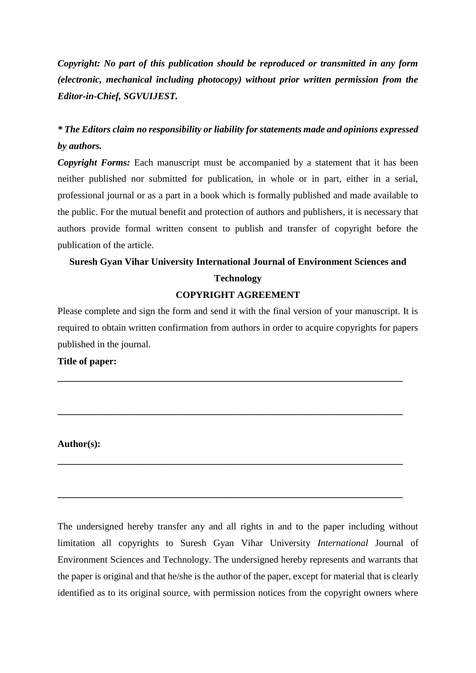*Copyright: No part of this publication should be reproduced or transmitted in any form (electronic, mechanical including photocopy) without prior written permission from the Editor-in-Chief, SGVUIJEST.*

# *\* The Editors claim no responsibility or liability for statements made and opinions expressed by authors.*

*Copyright Forms:* Each manuscript must be accompanied by a statement that it has been neither published nor submitted for publication, in whole or in part, either in a serial, professional journal or as a part in a book which is formally published and made available to the public. For the mutual benefit and protection of authors and publishers, it is necessary that authors provide formal written consent to publish and transfer of copyright before the publication of the article.

# **Suresh Gyan Vihar University International Journal of Environment Sciences and Technology**

## **COPYRIGHT AGREEMENT**

Please complete and sign the form and send it with the final version of your manuscript. It is required to obtain written confirmation from authors in order to acquire copyrights for papers published in the journal.

**\_\_\_\_\_\_\_\_\_\_\_\_\_\_\_\_\_\_\_\_\_\_\_\_\_\_\_\_\_\_\_\_\_\_\_\_\_\_\_\_\_\_\_\_\_\_\_\_\_\_\_\_\_\_\_\_\_\_\_\_\_\_\_\_\_\_\_\_\_\_\_\_**

**\_\_\_\_\_\_\_\_\_\_\_\_\_\_\_\_\_\_\_\_\_\_\_\_\_\_\_\_\_\_\_\_\_\_\_\_\_\_\_\_\_\_\_\_\_\_\_\_\_\_\_\_\_\_\_\_\_\_\_\_\_\_\_\_\_\_\_\_\_\_\_\_**

**\_\_\_\_\_\_\_\_\_\_\_\_\_\_\_\_\_\_\_\_\_\_\_\_\_\_\_\_\_\_\_\_\_\_\_\_\_\_\_\_\_\_\_\_\_\_\_\_\_\_\_\_\_\_\_\_\_\_\_\_\_\_\_\_\_\_\_\_\_\_\_\_**

**\_\_\_\_\_\_\_\_\_\_\_\_\_\_\_\_\_\_\_\_\_\_\_\_\_\_\_\_\_\_\_\_\_\_\_\_\_\_\_\_\_\_\_\_\_\_\_\_\_\_\_\_\_\_\_\_\_\_\_\_\_\_\_\_\_\_\_\_\_\_\_\_**

### **Title of paper:**

### **Author(s):**

The undersigned hereby transfer any and all rights in and to the paper including without limitation all copyrights to Suresh Gyan Vihar University *International* Journal of Environment Sciences and Technology. The undersigned hereby represents and warrants that the paper is original and that he/she is the author of the paper, except for material that is clearly identified as to its original source, with permission notices from the copyright owners where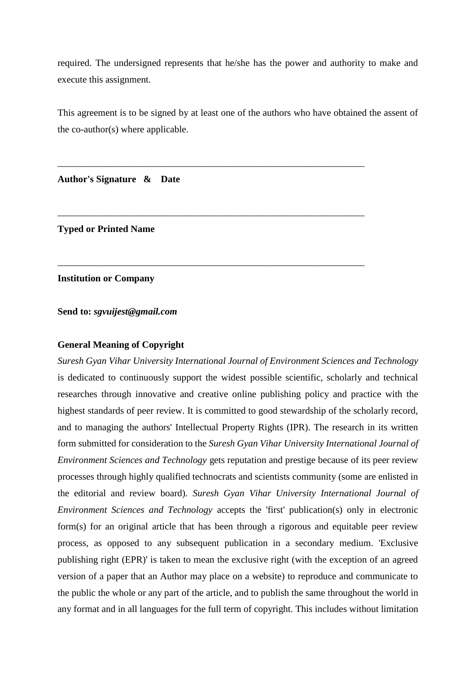required. The undersigned represents that he/she has the power and authority to make and execute this assignment.

This agreement is to be signed by at least one of the authors who have obtained the assent of the co-author(s) where applicable.

\_\_\_\_\_\_\_\_\_\_\_\_\_\_\_\_\_\_\_\_\_\_\_\_\_\_\_\_\_\_\_\_\_\_\_\_\_\_\_\_\_\_\_\_\_\_\_\_\_\_\_\_\_\_\_\_\_\_\_\_\_\_\_\_

\_\_\_\_\_\_\_\_\_\_\_\_\_\_\_\_\_\_\_\_\_\_\_\_\_\_\_\_\_\_\_\_\_\_\_\_\_\_\_\_\_\_\_\_\_\_\_\_\_\_\_\_\_\_\_\_\_\_\_\_\_\_\_\_

\_\_\_\_\_\_\_\_\_\_\_\_\_\_\_\_\_\_\_\_\_\_\_\_\_\_\_\_\_\_\_\_\_\_\_\_\_\_\_\_\_\_\_\_\_\_\_\_\_\_\_\_\_\_\_\_\_\_\_\_\_\_\_\_

**Author's Signature & Date**

**Typed or Printed Name**

**Institution or Company**

**Send to:** *sgvuijest@gmail.com*

### **General Meaning of Copyright**

*Suresh Gyan Vihar University International Journal of Environment Sciences and Technology*  is dedicated to continuously support the widest possible scientific, scholarly and technical researches through innovative and creative online publishing policy and practice with the highest standards of peer review. It is committed to good stewardship of the scholarly record, and to managing the authors' Intellectual Property Rights (IPR). The research in its written form submitted for consideration to the *Suresh Gyan Vihar University International Journal of Environment Sciences and Technology* gets reputation and prestige because of its peer review processes through highly qualified technocrats and scientists community (some are enlisted in the editorial and review board). *Suresh Gyan Vihar University International Journal of Environment Sciences and Technology* accepts the 'first' publication(s) only in electronic form(s) for an original article that has been through a rigorous and equitable peer review process, as opposed to any subsequent publication in a secondary medium. 'Exclusive publishing right (EPR)' is taken to mean the exclusive right (with the exception of an agreed version of a paper that an Author may place on a website) to reproduce and communicate to the public the whole or any part of the article, and to publish the same throughout the world in any format and in all languages for the full term of copyright. This includes without limitation